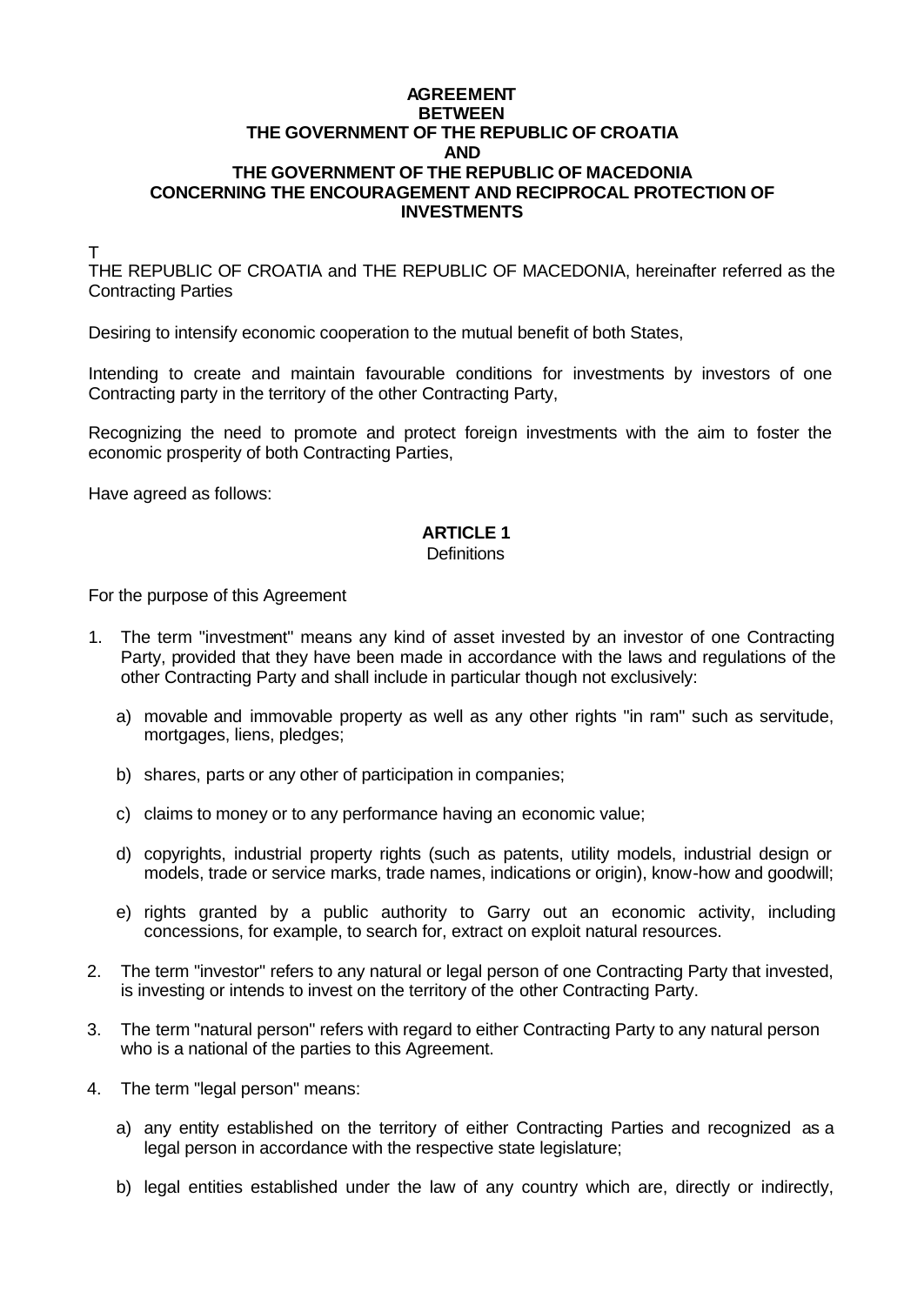#### **AGREEMENT BETWEEN THE GOVERNMENT OF THE REPUBLIC OF CROATIA AND THE GOVERNMENT OF THE REPUBLIC OF MACEDONIA CONCERNING THE ENCOURAGEMENT AND RECIPROCAL PROTECTION OF INVESTMENTS**

T

THE REPUBLIC OF CROATIA and THE REPUBLIC OF MACEDONIA, hereinafter referred as the Contracting Parties

Desiring to intensify economic cooperation to the mutual benefit of both States,

Intending to create and maintain favourable conditions for investments by investors of one Contracting party in the territory of the other Contracting Party,

Recognizing the need to promote and protect foreign investments with the aim to foster the economic prosperity of both Contracting Parties,

Have agreed as follows:

# **ARTICLE 1**

#### **Definitions**

For the purpose of this Agreement

- 1. The term "investment" means any kind of asset invested by an investor of one Contracting Party, provided that they have been made in accordance with the laws and regulations of the other Contracting Party and shall include in particular though not exclusively:
	- a) movable and immovable property as well as any other rights "in ram" such as servitude, mortgages, liens, pledges;
	- b) shares, parts or any other of participation in companies;
	- c) claims to money or to any performance having an economic value;
	- d) copyrights, industrial property rights (such as patents, utility models, industrial design or models, trade or service marks, trade names, indications or origin), know-how and goodwill;
	- e) rights granted by a public authority to Garry out an economic activity, including concessions, for example, to search for, extract on exploit natural resources.
- 2. The term "investor" refers to any natural or legal person of one Contracting Party that invested, is investing or intends to invest on the territory of the other Contracting Party.
- 3. The term "natural person" refers with regard to either Contracting Party to any natural person who is a national of the parties to this Agreement.
- 4. The term "legal person" means:
	- a) any entity established on the territory of either Contracting Parties and recognized as a legal person in accordance with the respective state legislature;
	- b) legal entities established under the law of any country which are, directly or indirectly,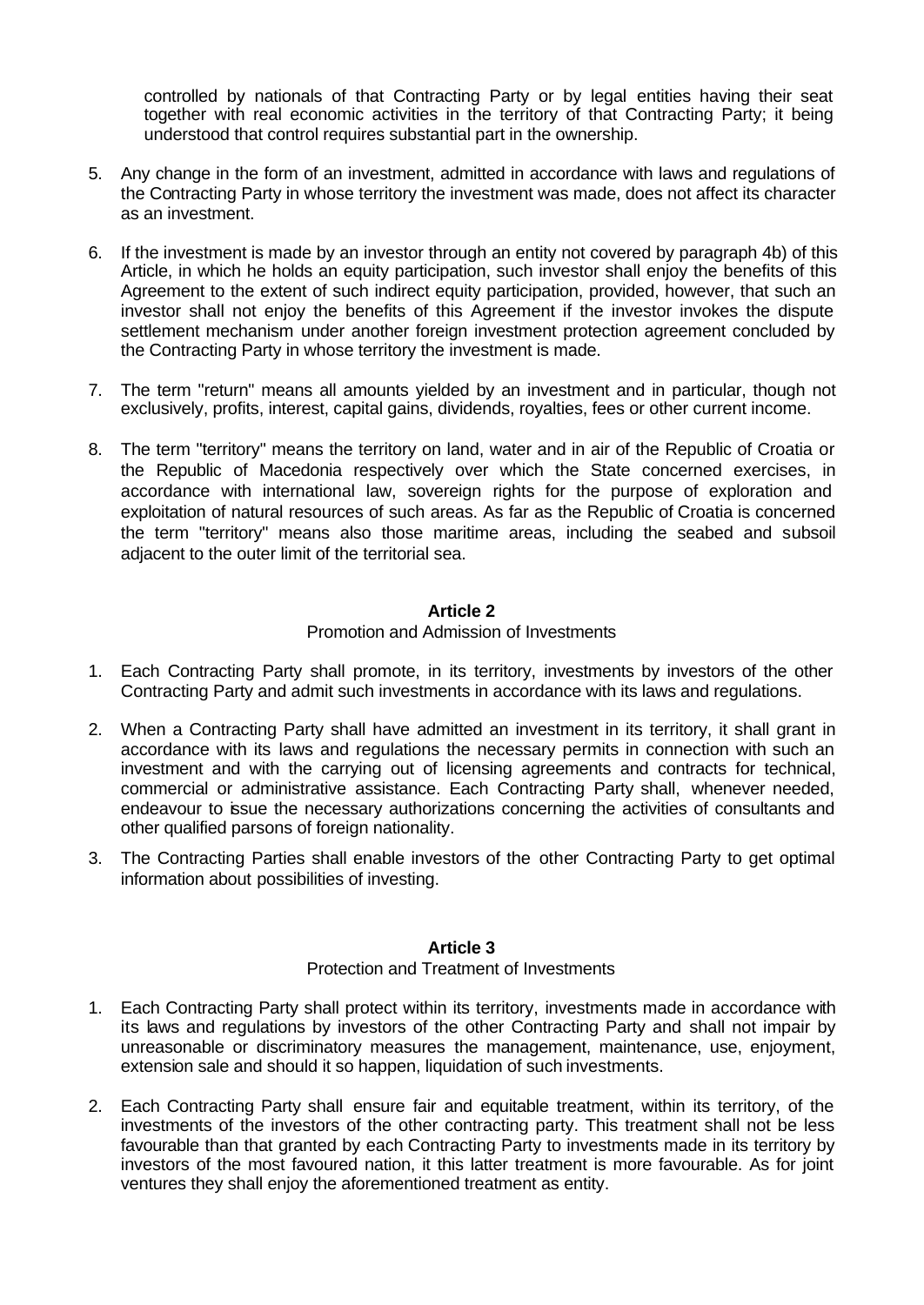controlled by nationals of that Contracting Party or by legal entities having their seat together with real economic activities in the territory of that Contracting Party; it being understood that control requires substantial part in the ownership.

- 5. Any change in the form of an investment, admitted in accordance with laws and regulations of the Contracting Party in whose territory the investment was made, does not affect its character as an investment.
- 6. If the investment is made by an investor through an entity not covered by paragraph 4b) of this Article, in which he holds an equity participation, such investor shall enjoy the benefits of this Agreement to the extent of such indirect equity participation, provided, however, that such an investor shall not enjoy the benefits of this Agreement if the investor invokes the dispute settlement mechanism under another foreign investment protection agreement concluded by the Contracting Party in whose territory the investment is made.
- 7. The term "return" means all amounts yielded by an investment and in particular, though not exclusively, profits, interest, capital gains, dividends, royalties, fees or other current income.
- 8. The term "territory" means the territory on land, water and in air of the Republic of Croatia or the Republic of Macedonia respectively over which the State concerned exercises, in accordance with international law, sovereign rights for the purpose of exploration and exploitation of natural resources of such areas. As far as the Republic of Croatia is concerned the term "territory" means also those maritime areas, including the seabed and subsoil adjacent to the outer limit of the territorial sea.

## **Article 2**

#### Promotion and Admission of Investments

- 1. Each Contracting Party shall promote, in its territory, investments by investors of the other Contracting Party and admit such investments in accordance with its laws and regulations.
- 2. When a Contracting Party shall have admitted an investment in its territory, it shall grant in accordance with its laws and regulations the necessary permits in connection with such an investment and with the carrying out of licensing agreements and contracts for technical, commercial or administrative assistance. Each Contracting Party shall, whenever needed, endeavour to issue the necessary authorizations concerning the activities of consultants and other qualified parsons of foreign nationality.
- 3. The Contracting Parties shall enable investors of the other Contracting Party to get optimal information about possibilities of investing.

## **Article 3**

### Protection and Treatment of Investments

- 1. Each Contracting Party shall protect within its territory, investments made in accordance with its laws and regulations by investors of the other Contracting Party and shall not impair by unreasonable or discriminatory measures the management, maintenance, use, enjoyment, extension sale and should it so happen, liquidation of such investments.
- 2. Each Contracting Party shall ensure fair and equitable treatment, within its territory, of the investments of the investors of the other contracting party. This treatment shall not be less favourable than that granted by each Contracting Party to investments made in its territory by investors of the most favoured nation, it this latter treatment is more favourable. As for joint ventures they shall enjoy the aforementioned treatment as entity.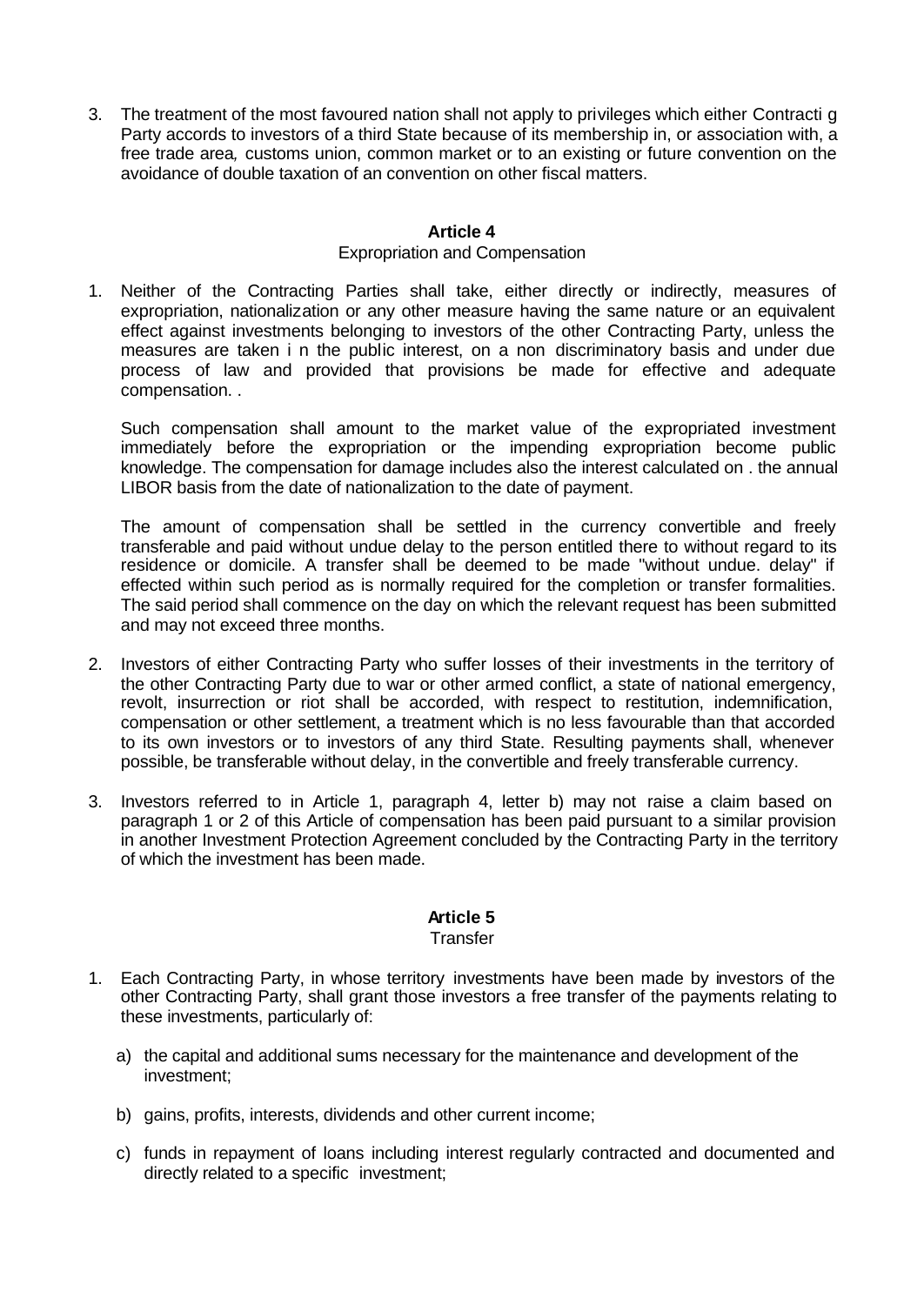3. The treatment of the most favoured nation shall not apply to privileges which either Contracti g Party accords to investors of a third State because of its membership in, or association with, a free trade area*,* customs union, common market or to an existing or future convention on the avoidance of double taxation of an convention on other fiscal matters.

## **Article 4**

### Expropriation and Compensation

1. Neither of the Contracting Parties shall take, either directly or indirectly, measures of expropriation, nationalization or any other measure having the same nature or an equivalent effect against investments belonging to investors of the other Contracting Party, unless the measures are taken i n the public interest, on a non discriminatory basis and under due process of law and provided that provisions be made for effective and adequate compensation. .

Such compensation shall amount to the market value of the expropriated investment immediately before the expropriation or the impending expropriation become public knowledge. The compensation for damage includes also the interest calculated on . the annual LIBOR basis from the date of nationalization to the date of payment.

The amount of compensation shall be settled in the currency convertible and freely transferable and paid without undue delay to the person entitled there to without regard to its residence or domicile. A transfer shall be deemed to be made "without undue. delay" if effected within such period as is normally required for the completion or transfer formalities. The said period shall commence on the day on which the relevant request has been submitted and may not exceed three months.

- 2. Investors of either Contracting Party who suffer losses of their investments in the territory of the other Contracting Party due to war or other armed conflict, a state of national emergency, revolt, insurrection or riot shall be accorded, with respect to restitution, indemnification, compensation or other settlement, a treatment which is no less favourable than that accorded to its own investors or to investors of any third State. Resulting payments shall, whenever possible, be transferable without delay, in the convertible and freely transferable currency.
- 3. Investors referred to in Article 1, paragraph 4, letter b) may not raise a claim based on paragraph 1 or 2 of this Article of compensation has been paid pursuant to a similar provision in another Investment Protection Agreement concluded by the Contracting Party in the territory of which the investment has been made.

## **Article 5**

#### **Transfer**

- 1. Each Contracting Party, in whose territory investments have been made by investors of the other Contracting Party, shall grant those investors a free transfer of the payments relating to these investments, particularly of:
	- a) the capital and additional sums necessary for the maintenance and development of the investment;
	- b) gains, profits, interests, dividends and other current income;
	- c) funds in repayment of loans including interest regularly contracted and documented and directly related to a specific investment;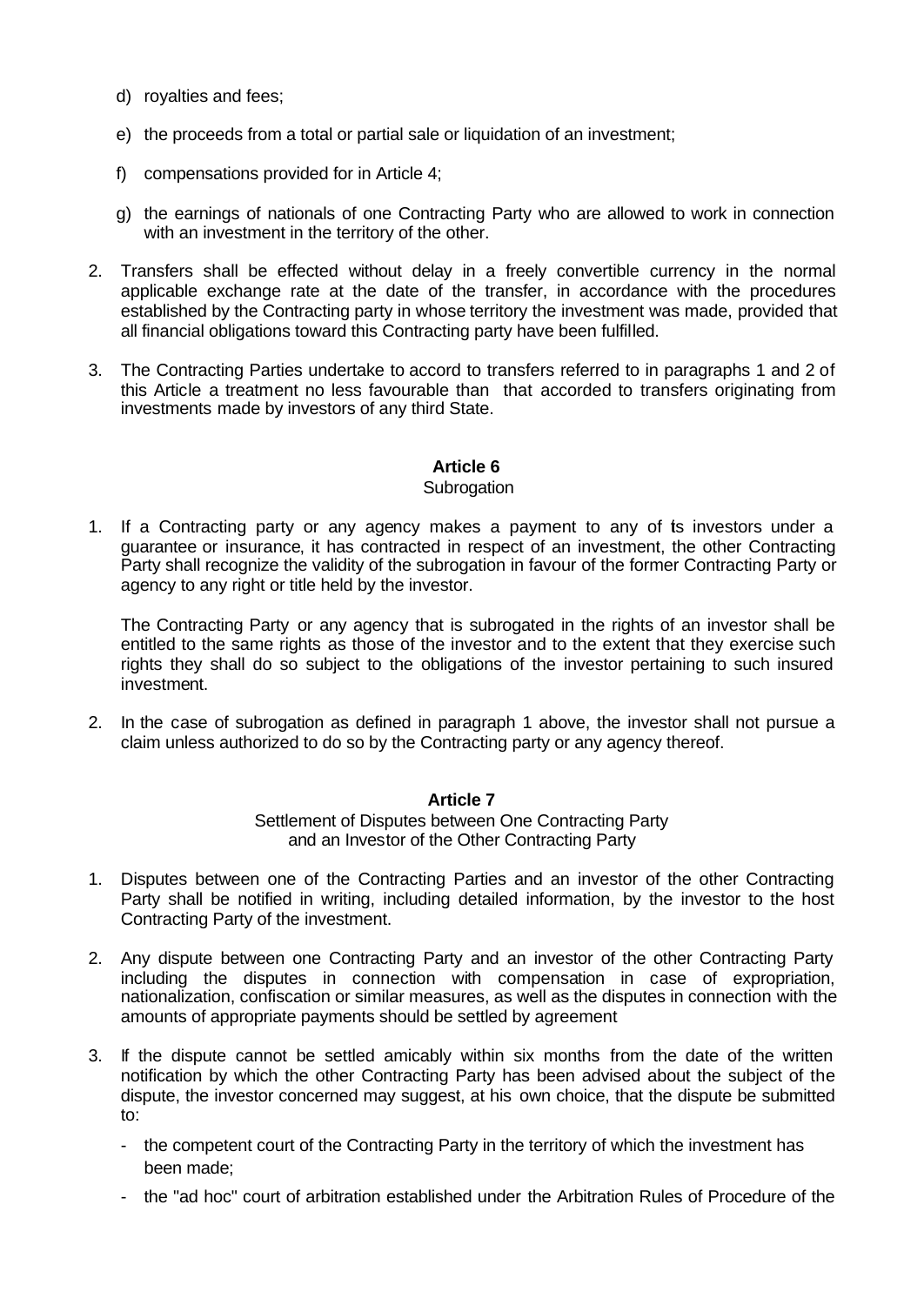- d) royalties and fees;
- e) the proceeds from a total or partial sale or liquidation of an investment;
- f) compensations provided for in Article 4;
- g) the earnings of nationals of one Contracting Party who are allowed to work in connection with an investment in the territory of the other.
- 2. Transfers shall be effected without delay in a freely convertible currency in the normal applicable exchange rate at the date of the transfer, in accordance with the procedures established by the Contracting party in whose territory the investment was made, provided that all financial obligations toward this Contracting party have been fulfilled.
- 3. The Contracting Parties undertake to accord to transfers referred to in paragraphs 1 and 2 of this Article a treatment no less favourable than that accorded to transfers originating from investments made by investors of any third State.

## **Article 6**

#### **Subrogation**

1. If a Contracting party or any agency makes a payment to any of its investors under a guarantee or insurance, it has contracted in respect of an investment, the other Contracting Party shall recognize the validity of the subrogation in favour of the former Contracting Party or agency to any right or title held by the investor.

The Contracting Party or any agency that is subrogated in the rights of an investor shall be entitled to the same rights as those of the investor and to the extent that they exercise such rights they shall do so subject to the obligations of the investor pertaining to such insured investment.

2. In the case of subrogation as defined in paragraph 1 above, the investor shall not pursue a claim unless authorized to do so by the Contracting party or any agency thereof.

#### **Article 7**

Settlement of Disputes between One Contracting Party and an Investor of the Other Contracting Party

- 1. Disputes between one of the Contracting Parties and an investor of the other Contracting Party shall be notified in writing, including detailed information, by the investor to the host Contracting Party of the investment.
- 2. Any dispute between one Contracting Party and an investor of the other Contracting Party including the disputes in connection with compensation in case of expropriation, nationalization, confiscation or similar measures, as well as the disputes in connection with the amounts of appropriate payments should be settled by agreement
- 3. If the dispute cannot be settled amicably within six months from the date of the written notification by which the other Contracting Party has been advised about the subject of the dispute, the investor concerned may suggest, at his own choice, that the dispute be submitted to:
	- the competent court of the Contracting Party in the territory of which the investment has been made;
	- the "ad hoc" court of arbitration established under the Arbitration Rules of Procedure of the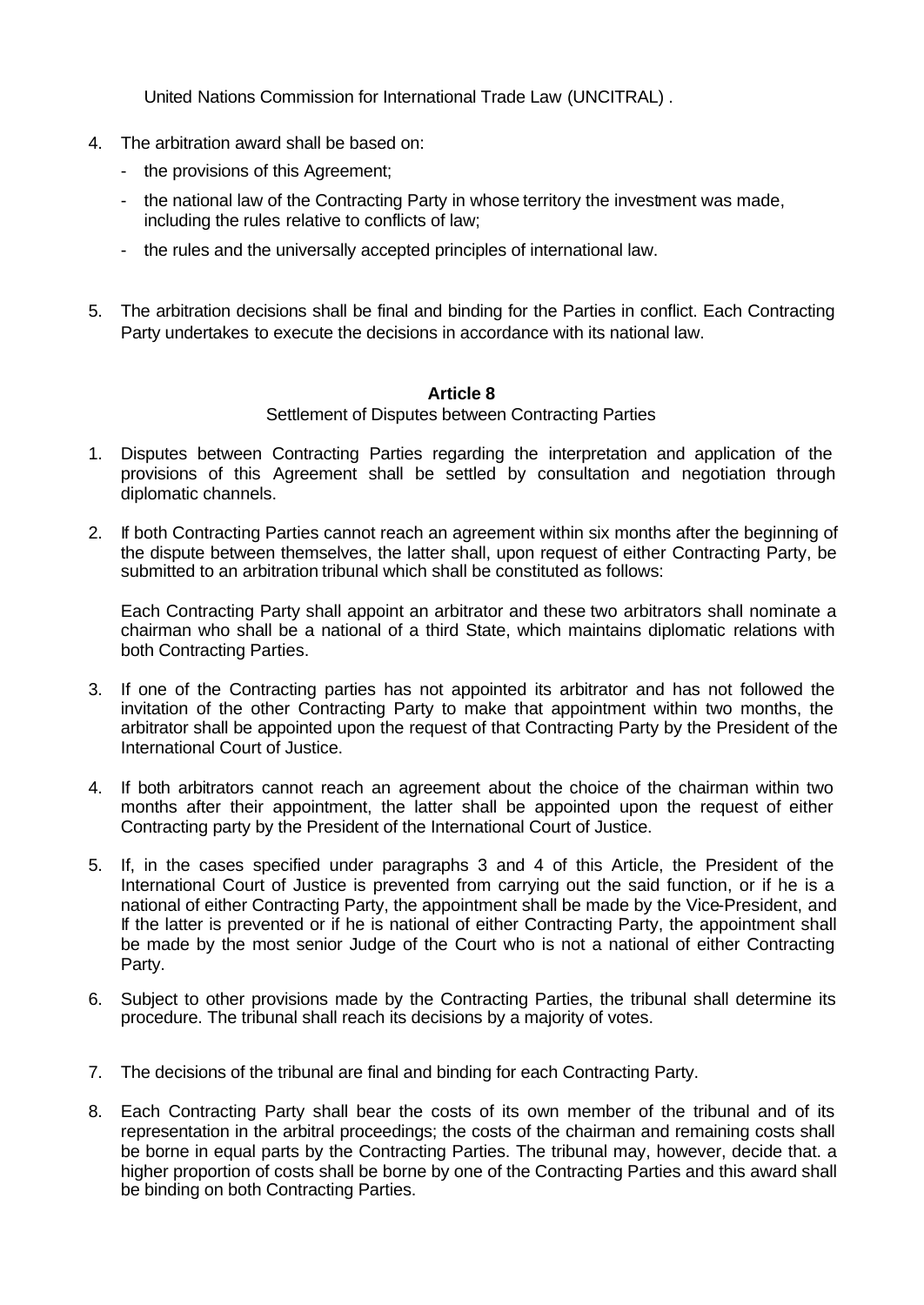United Nations Commission for International Trade Law (UNCITRAL) .

- 4. The arbitration award shall be based on:
	- the provisions of this Agreement;
	- the national law of the Contracting Party in whose territory the investment was made, including the rules relative to conflicts of law;
	- the rules and the universally accepted principles of international law.
- 5. The arbitration decisions shall be final and binding for the Parties in conflict. Each Contracting Party undertakes to execute the decisions in accordance with its national law.

## **Article 8**

Settlement of Disputes between Contracting Parties

- 1. Disputes between Contracting Parties regarding the interpretation and application of the provisions of this Agreement shall be settled by consultation and negotiation through diplomatic channels.
- 2. If both Contracting Parties cannot reach an agreement within six months after the beginning of the dispute between themselves, the latter shall, upon request of either Contracting Party, be submitted to an arbitration tribunal which shall be constituted as follows:

Each Contracting Party shall appoint an arbitrator and these two arbitrators shall nominate a chairman who shall be a national of a third State, which maintains diplomatic relations with both Contracting Parties.

- 3. If one of the Contracting parties has not appointed its arbitrator and has not followed the invitation of the other Contracting Party to make that appointment within two months, the arbitrator shall be appointed upon the request of that Contracting Party by the President of the International Court of Justice.
- 4. If both arbitrators cannot reach an agreement about the choice of the chairman within two months after their appointment, the latter shall be appointed upon the request of either Contracting party by the President of the International Court of Justice.
- 5. If, in the cases specified under paragraphs 3 and 4 of this Article, the President of the International Court of Justice is prevented from carrying out the said function, or if he is a national of either Contracting Party, the appointment shall be made by the Vice-President, and If the latter is prevented or if he is national of either Contracting Party, the appointment shall be made by the most senior Judge of the Court who is not a national of either Contracting Party.
- 6. Subject to other provisions made by the Contracting Parties, the tribunal shall determine its procedure. The tribunal shall reach its decisions by a majority of votes.
- 7. The decisions of the tribunal are final and binding for each Contracting Party.
- 8. Each Contracting Party shall bear the costs of its own member of the tribunal and of its representation in the arbitral proceedings; the costs of the chairman and remaining costs shall be borne in equal parts by the Contracting Parties. The tribunal may, however, decide that. a higher proportion of costs shall be borne by one of the Contracting Parties and this award shall be binding on both Contracting Parties.